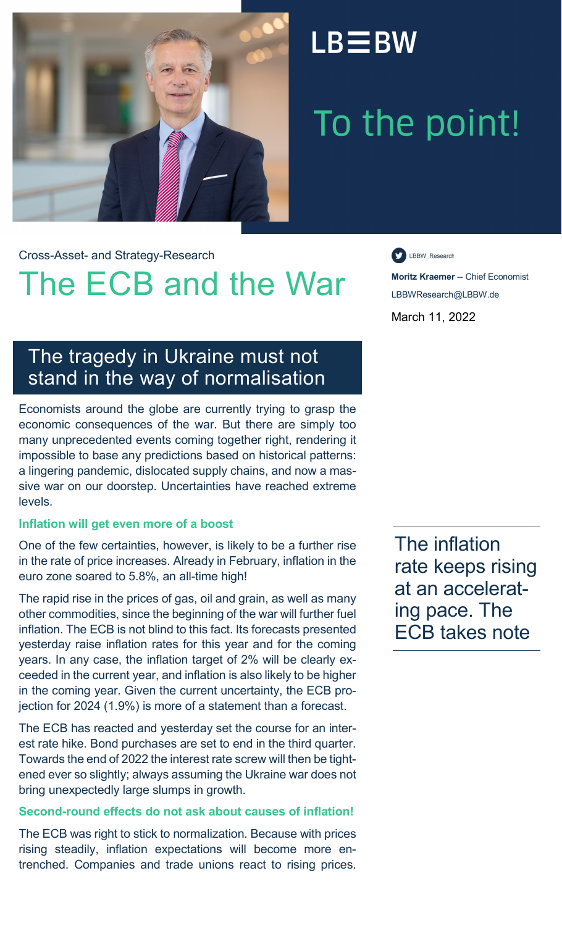

### $LB \equiv BW$

# To the point!

Cross-Asset- and Strategy-Research

## The ECB and the War **Moritz Kraemer** -- Chief Economist

LBBW\_Research

LBBWResearch@LBBW.de March 11, 2022

### The tragedy in Ukraine must not stand in the way of normalisation

Economists around the globe are currently trying to grasp the economic consequences of the war. But there are simply too many unprecedented events coming together right, rendering it impossible to base any predictions based on historical patterns: a lingering pandemic, dislocated supply chains, and now a massive war on our doorstep. Uncertainties have reached extreme levels.

#### **Inflation will get even more of a boost**

One of the few certainties, however, is likely to be a further rise in the rate of price increases. Already in February, inflation in the euro zone soared to 5.8%, an all-time high!

The rapid rise in the prices of gas, oil and grain, as well as many other commodities, since the beginning of the war will further fuel inflation. The ECB is not blind to this fact. Its forecasts presented yesterday raise inflation rates for this year and for the coming years. In any case, the inflation target of 2% will be clearly exceeded in the current year, and inflation is also likely to be higher in the coming year. Given the current uncertainty, the ECB projection for 2024 (1.9%) is more of a statement than a forecast.

The ECB has reacted and yesterday set the course for an interest rate hike. Bond purchases are set to end in the third quarter. Towards the end of 2022 the interest rate screw will then be tightened ever so slightly; always assuming the Ukraine war does not bring unexpectedly large slumps in growth.

#### **Second-round effects do not ask about causes of inflation!**

The ECB was right to stick to normalization. Because with prices rising steadily, inflation expectations will become more entrenched. Companies and trade unions react to rising prices.

The inflation rate keeps rising at an accelerating pace. The ECB takes note